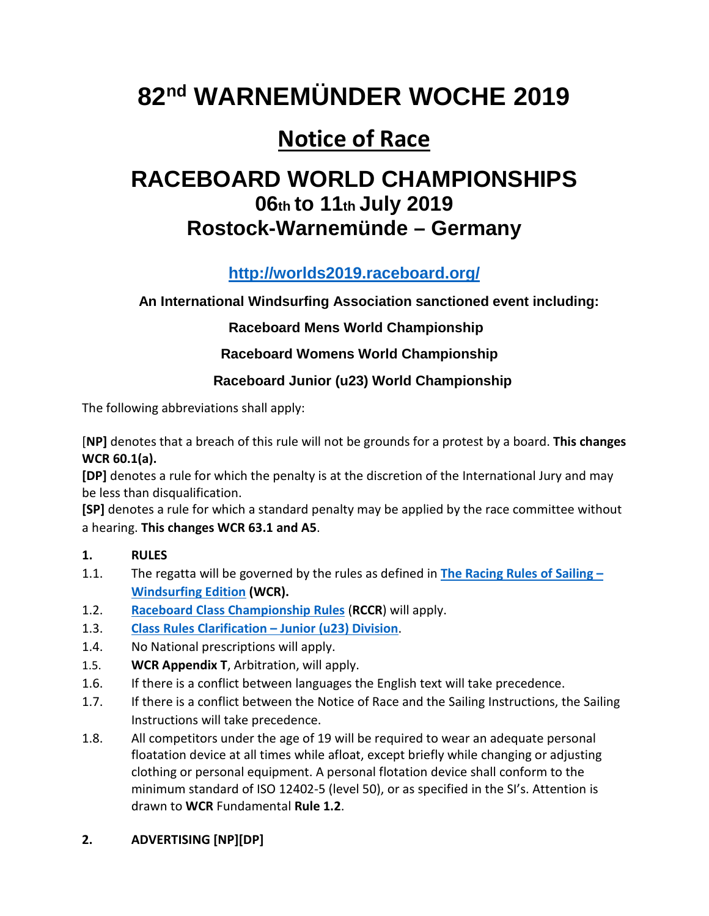# **82nd WARNEMÜNDER WOCHE 2019**

## **Notice of Race**

### **RACEBOARD WORLD CHAMPIONSHIPS 06th to 11th July 2019 Rostock-Warnemünde – Germany**

### **<http://worlds2019.raceboard.org/>**

#### **An International Windsurfing Association sanctioned event including:**

#### **Raceboard Mens World Championship**

#### **Raceboard Womens World Championship**

#### **Raceboard Junior (u23) World Championship**

The following abbreviations shall apply:

[**NP]** denotes that a breach of this rule will not be grounds for a protest by a board. **This changes WCR 60.1(a).**

**[DP]** denotes a rule for which the penalty is at the discretion of the International Jury and may be less than disqualification.

**[SP]** denotes a rule for which a standard penalty may be applied by the race committee without a hearing. **This changes WCR 63.1 and A5**.

#### **1. RULES**

- 1.1. The regatta will be governed by the rules as defined in **[The Racing Rules of Sailing](http://sailing.org/tools/documents/RacingRulesofSailingWindsurfingEditionfor20172020-%5B24077%5D.pdf) – [Windsurfing Edition](http://sailing.org/tools/documents/RacingRulesofSailingWindsurfingEditionfor20172020-%5B24077%5D.pdf) (WCR).**
- 1.2. **[Raceboard Class Championship Rules](http://internationalwindsurfing.com/userfiles/documents/Championship_Rules_Raceboard.pdf)** (**RCCR**) will apply.
- 1.3. **[Class Rules Clarification –](http://internationalwindsurfing.com/userfiles/documents/Class_Rules_Raceboard_Junior.pdf) Junior (u23) Division**.
- 1.4. No National prescriptions will apply.
- 1.5. **WCR Appendix T**, Arbitration, will apply.
- 1.6. If there is a conflict between languages the English text will take precedence.
- 1.7. If there is a conflict between the Notice of Race and the Sailing Instructions, the Sailing Instructions will take precedence.
- 1.8. All competitors under the age of 19 will be required to wear an adequate personal floatation device at all times while afloat, except briefly while changing or adjusting clothing or personal equipment. A personal flotation device shall conform to the minimum standard of ISO 12402-5 (level 50), or as specified in the SI's. Attention is drawn to **WCR** Fundamental **Rule 1.2**.

#### **2. ADVERTISING [NP][DP]**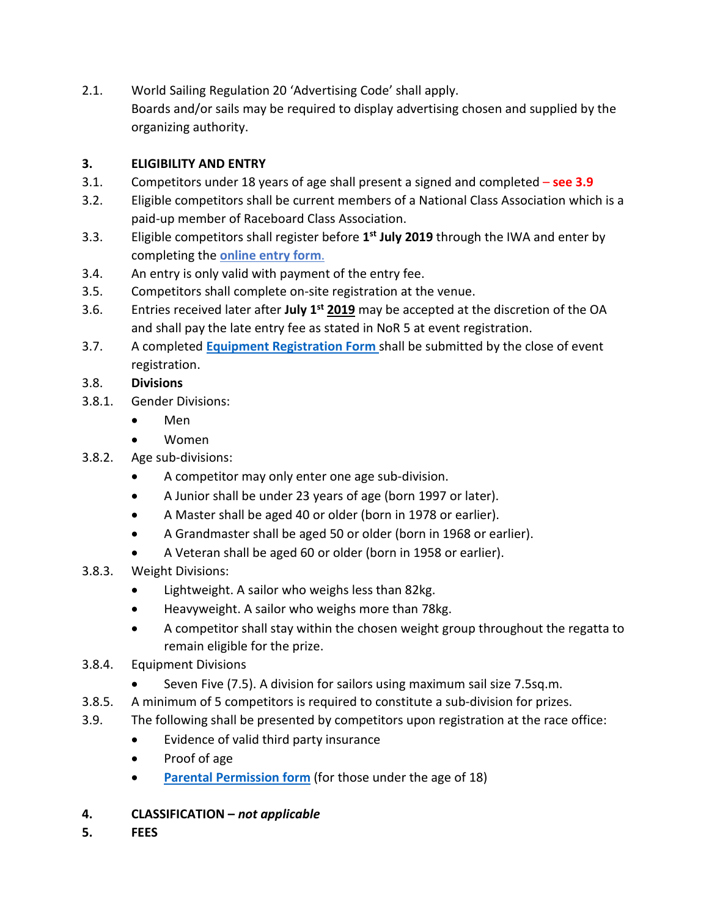2.1. World Sailing Regulation 20 'Advertising Code' shall apply. Boards and/or sails may be required to display advertising chosen and supplied by the organizing authority.

#### **3. ELIGIBILITY AND ENTRY**

- 3.1. Competitors under 18 years of age shall present a signed and completed **see 3.9**
- 3.2. Eligible competitors shall be current members of a National Class Association which is a paid-up member of Raceboard Class Association.
- 3.3. Eligible competitors shall register before **1st July 2019** through the IWA and enter by completing the **[online entry form](https://registration.internationalwindsurfing.com/en/events/register/id/248)**.
- 3.4. An entry is only valid with payment of the entry fee.
- 3.5. Competitors shall complete on-site registration at the venue.
- 3.6. Entries received later after **July 1st 2019** may be accepted at the discretion of the OA and shall pay the late entry fee as stated in NoR 5 at event registration.
- 3.7. A completed **[Equipment Registration Form](https://form.jotformeu.com/IWAAdmin/rbwc-19-equipment-form)** shall be submitted by the close of event registration.

#### 3.8. **Divisions**

- 3.8.1. Gender Divisions:
	- Men
	- Women
- 3.8.2. Age sub-divisions:
	- A competitor may only enter one age sub-division.
	- A Junior shall be under 23 years of age (born 1997 or later).
	- A Master shall be aged 40 or older (born in 1978 or earlier).
	- A Grandmaster shall be aged 50 or older (born in 1968 or earlier).
	- A Veteran shall be aged 60 or older (born in 1958 or earlier).
- 3.8.3. Weight Divisions:
	- Lightweight. A sailor who weighs less than 82kg.
	- Heavyweight. A sailor who weighs more than 78kg.
	- A competitor shall stay within the chosen weight group throughout the regatta to remain eligible for the prize.
- 3.8.4. Equipment Divisions
	- Seven Five (7.5). A division for sailors using maximum sail size 7.5sq.m.
- 3.8.5. A minimum of 5 competitors is required to constitute a sub-division for prizes.
- 3.9. The following shall be presented by competitors upon registration at the race office:
	- Evidence of valid third party insurance
	- Proof of age
	- **[Parental Permission form](http://internationalwindsurfing.com/userfiles/documents/Parental_Permission_Form_RB_WC_Germany.pdf)** (for those under the age of 18)
- **4. CLASSIFICATION –** *not applicable*
- **5. FEES**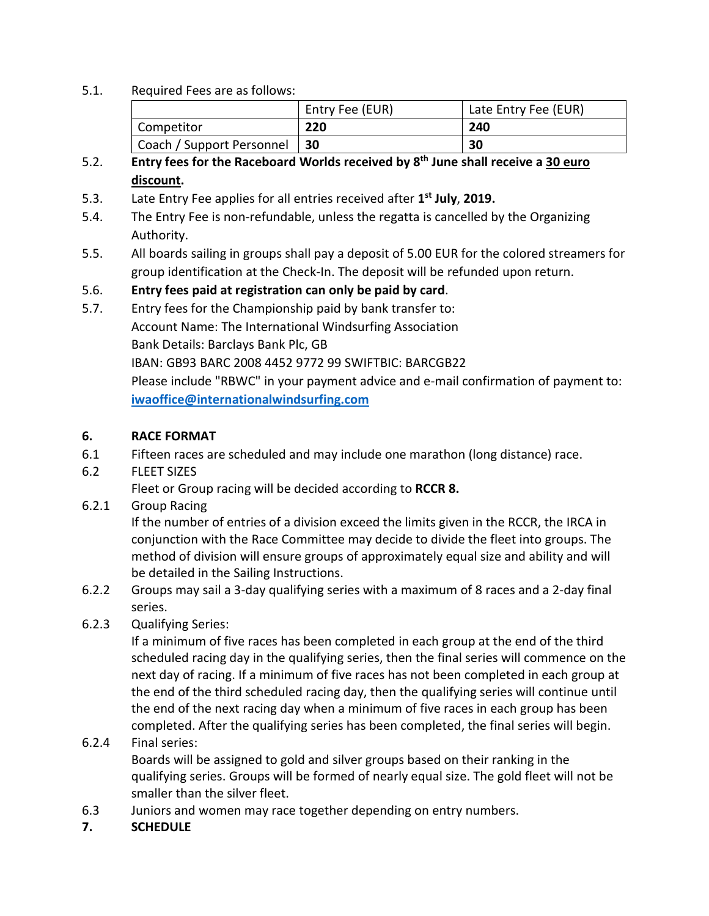5.1. Required Fees are as follows:

|                           | Entry Fee (EUR) | Late Entry Fee (EUR) |
|---------------------------|-----------------|----------------------|
| Competitor                | 220             | 240                  |
| Coach / Support Personnel | $\vert$ 30      | 30                   |

#### 5.2. **Entry fees for the Raceboard Worlds received by 8th June shall receive a 30 euro discount.**

- 5.3. Late Entry Fee applies for all entries received after **1st July**, **2019.**
- 5.4. The Entry Fee is non-refundable, unless the regatta is cancelled by the Organizing Authority.
- 5.5. All boards sailing in groups shall pay a deposit of 5.00 EUR for the colored streamers for group identification at the Check-In. The deposit will be refunded upon return.

#### 5.6. **Entry fees paid at registration can only be paid by card**.

5.7. Entry fees for the Championship paid by bank transfer to: Account Name: The International Windsurfing Association Bank Details: Barclays Bank Plc, GB IBAN: GB93 BARC 2008 4452 9772 99 SWIFTBIC: BARCGB22 Please include "RBWC" in your payment advice and e-mail confirmation of payment to: **[iwaoffice@internationalwindsurfing.com](mailto:iwaoffice@internationalwindsurfing.com)**

#### **6. RACE FORMAT**

- 6.1 Fifteen races are scheduled and may include one marathon (long distance) race.
- 6.2 FLEET SIZES

Fleet or Group racing will be decided according to **RCCR 8.**

6.2.1 Group Racing

If the number of entries of a division exceed the limits given in the RCCR, the IRCA in conjunction with the Race Committee may decide to divide the fleet into groups. The method of division will ensure groups of approximately equal size and ability and will be detailed in the Sailing Instructions.

- 6.2.2 Groups may sail a 3-day qualifying series with a maximum of 8 races and a 2-day final series.
- 6.2.3 Qualifying Series:

If a minimum of five races has been completed in each group at the end of the third scheduled racing day in the qualifying series, then the final series will commence on the next day of racing. If a minimum of five races has not been completed in each group at the end of the third scheduled racing day, then the qualifying series will continue until the end of the next racing day when a minimum of five races in each group has been completed. After the qualifying series has been completed, the final series will begin.

#### 6.2.4 Final series:

Boards will be assigned to gold and silver groups based on their ranking in the qualifying series. Groups will be formed of nearly equal size. The gold fleet will not be smaller than the silver fleet.

- 6.3 Juniors and women may race together depending on entry numbers.
- **7. SCHEDULE**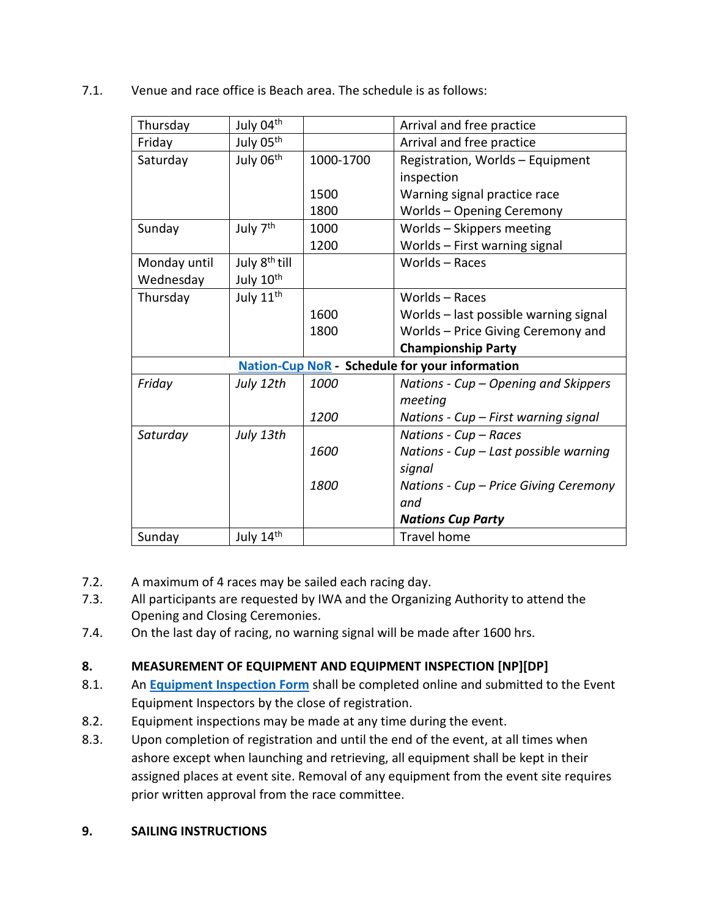7.1. Venue and race office is Beach area. The schedule is as follows:

| Thursday                                              | July 04th                 |             | Arrival and free practice             |  |
|-------------------------------------------------------|---------------------------|-------------|---------------------------------------|--|
| Friday                                                | July 05th                 |             | Arrival and free practice             |  |
| Saturday                                              | July 06th                 | 1000-1700   | Registration, Worlds - Equipment      |  |
|                                                       |                           |             | inspection                            |  |
|                                                       |                           | 1500        | Warning signal practice race          |  |
|                                                       |                           | 1800        | <b>Worlds - Opening Ceremony</b>      |  |
| Sunday                                                | July 7 <sup>th</sup>      | 1000        | Worlds - Skippers meeting             |  |
|                                                       |                           | 1200        | Worlds - First warning signal         |  |
| Monday until                                          | July 8 <sup>th</sup> till |             | Worlds - Races                        |  |
| Wednesday                                             | July 10 <sup>th</sup>     |             |                                       |  |
| Thursday                                              | July 11 <sup>th</sup>     |             | Worlds - Races                        |  |
|                                                       |                           | 1600        | Worlds - last possible warning signal |  |
|                                                       |                           | 1800        | Worlds - Price Giving Ceremony and    |  |
|                                                       |                           |             | <b>Championship Party</b>             |  |
| <b>Nation-Cup NoR - Schedule for your information</b> |                           |             |                                       |  |
| Friday                                                | July 12th                 | <i>1000</i> | Nations - Cup – Opening and Skippers  |  |
|                                                       |                           |             | meeting                               |  |
|                                                       |                           | 1200        | Nations - Cup - First warning signal  |  |
| Saturday                                              | July 13th                 |             | Nations - Cup - Races                 |  |
|                                                       |                           | 1600        | Nations - Cup - Last possible warning |  |
|                                                       |                           |             | signal                                |  |
|                                                       |                           | 1800        | Nations - Cup – Price Giving Ceremony |  |
|                                                       |                           |             | and                                   |  |
|                                                       |                           |             | <b>Nations Cup Party</b>              |  |
| Sunday                                                | July 14th                 |             | <b>Travel home</b>                    |  |

- 7.2. A maximum of 4 races may be sailed each racing day.
- 7.3. All participants are requested by IWA and the Organizing Authority to attend the Opening and Closing Ceremonies.
- 7.4. On the last day of racing, no warning signal will be made after 1600 hrs.

#### **8. MEASUREMENT OF EQUIPMENT AND EQUIPMENT INSPECTION [NP][DP]**

- 8.1. An **[Equipment Inspection Form](https://form.jotformeu.com/IWAAdmin/rbwc-19-equipment-form)** shall be completed online and submitted to the Event Equipment Inspectors by the close of registration.
- 8.2. Equipment inspections may be made at any time during the event.
- 8.3. Upon completion of registration and until the end of the event, at all times when ashore except when launching and retrieving, all equipment shall be kept in their assigned places at event site. Removal of any equipment from the event site requires prior written approval from the race committee.
- **9. SAILING INSTRUCTIONS**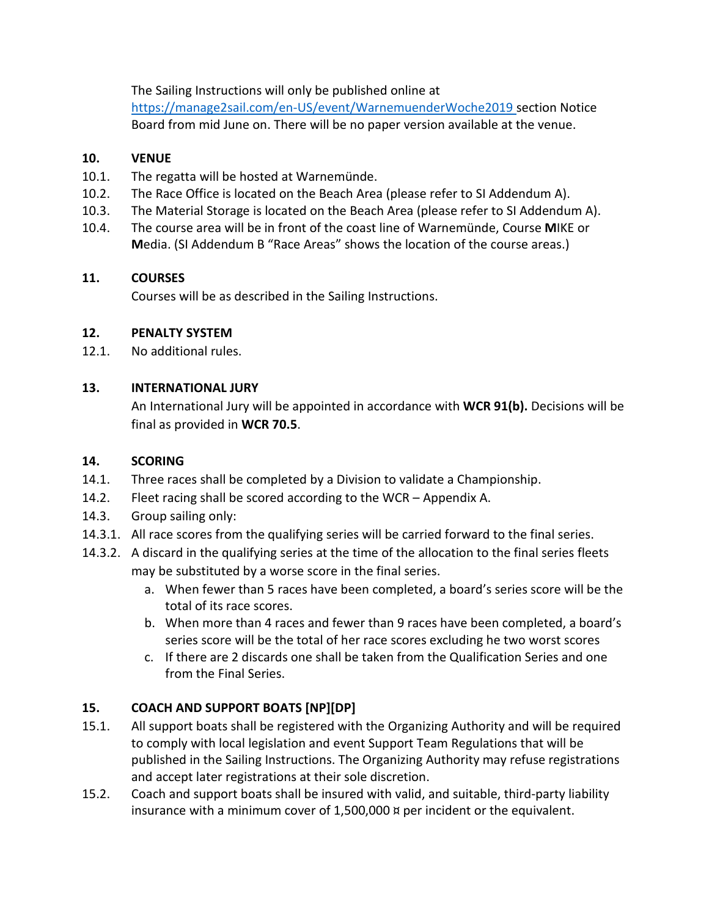The Sailing Instructions will only be published online at

<https://manage2sail.com/en-US/event/WarnemuenderWoche2019> section Notice Board from mid June on. There will be no paper version available at the venue.

#### **10. VENUE**

- 10.1. The regatta will be hosted at Warnemünde.
- 10.2. The Race Office is located on the Beach Area (please refer to SI Addendum A).
- 10.3. The Material Storage is located on the Beach Area (please refer to SI Addendum A).
- 10.4. The course area will be in front of the coast line of Warnemünde, Course **M**IKE or **M**edia. (SI Addendum B "Race Areas" shows the location of the course areas.)

#### **11. COURSES**

Courses will be as described in the Sailing Instructions.

#### **12. PENALTY SYSTEM**

12.1. No additional rules.

#### **13. INTERNATIONAL JURY**

An International Jury will be appointed in accordance with **WCR 91(b).** Decisions will be final as provided in **WCR 70.5**.

#### **14. SCORING**

- 14.1. Three races shall be completed by a Division to validate a Championship.
- 14.2. Fleet racing shall be scored according to the WCR Appendix A.
- 14.3. Group sailing only:
- 14.3.1. All race scores from the qualifying series will be carried forward to the final series.
- 14.3.2. A discard in the qualifying series at the time of the allocation to the final series fleets may be substituted by a worse score in the final series.
	- a. When fewer than 5 races have been completed, a board's series score will be the total of its race scores.
	- b. When more than 4 races and fewer than 9 races have been completed, a board's series score will be the total of her race scores excluding he two worst scores
	- c. If there are 2 discards one shall be taken from the Qualification Series and one from the Final Series.

#### **15. COACH AND SUPPORT BOATS [NP][DP]**

- 15.1. All support boats shall be registered with the Organizing Authority and will be required to comply with local legislation and event Support Team Regulations that will be published in the Sailing Instructions. The Organizing Authority may refuse registrations and accept later registrations at their sole discretion.
- 15.2. Coach and support boats shall be insured with valid, and suitable, third-party liability insurance with a minimum cover of 1,500,000 ¤ per incident or the equivalent.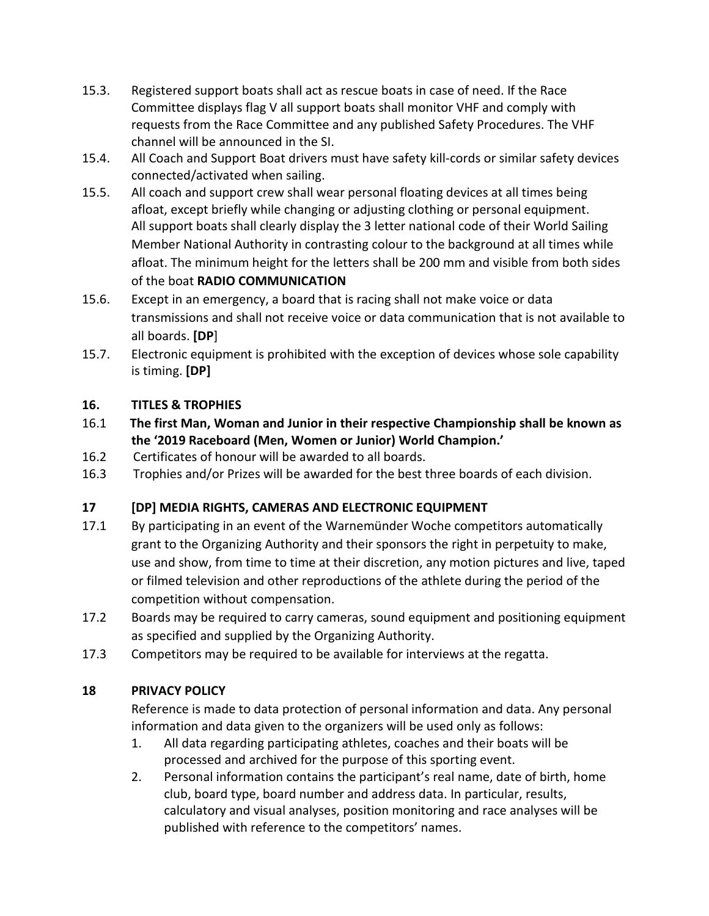- 15.3. Registered support boats shall act as rescue boats in case of need. If the Race Committee displays flag V all support boats shall monitor VHF and comply with requests from the Race Committee and any published Safety Procedures. The VHF channel will be announced in the SI.
- 15.4. All Coach and Support Boat drivers must have safety kill-cords or similar safety devices connected/activated when sailing.
- 15.5. All coach and support crew shall wear personal floating devices at all times being afloat, except briefly while changing or adjusting clothing or personal equipment. All support boats shall clearly display the 3 letter national code of their World Sailing Member National Authority in contrasting colour to the background at all times while afloat. The minimum height for the letters shall be 200 mm and visible from both sides of the boat **RADIO COMMUNICATION**
- 15.6. Except in an emergency, a board that is racing shall not make voice or data transmissions and shall not receive voice or data communication that is not available to all boards. **[DP**]
- 15.7. Electronic equipment is prohibited with the exception of devices whose sole capability is timing. **[DP]**

#### **16. TITLES & TROPHIES**

- 16.1 **The first Man, Woman and Junior in their respective Championship shall be known as the '2019 Raceboard (Men, Women or Junior) World Champion.'**
- 16.2 Certificates of honour will be awarded to all boards.
- 16.3 Trophies and/or Prizes will be awarded for the best three boards of each division.

#### **17 [DP] MEDIA RIGHTS, CAMERAS AND ELECTRONIC EQUIPMENT**

- 17.1 By participating in an event of the Warnemünder Woche competitors automatically grant to the Organizing Authority and their sponsors the right in perpetuity to make, use and show, from time to time at their discretion, any motion pictures and live, taped or filmed television and other reproductions of the athlete during the period of the competition without compensation.
- 17.2 Boards may be required to carry cameras, sound equipment and positioning equipment as specified and supplied by the Organizing Authority.
- 17.3 Competitors may be required to be available for interviews at the regatta.

#### **18 PRIVACY POLICY**

Reference is made to data protection of personal information and data. Any personal information and data given to the organizers will be used only as follows:

- 1. All data regarding participating athletes, coaches and their boats will be processed and archived for the purpose of this sporting event.
- 2. Personal information contains the participant's real name, date of birth, home club, board type, board number and address data. In particular, results, calculatory and visual analyses, position monitoring and race analyses will be published with reference to the competitors' names.